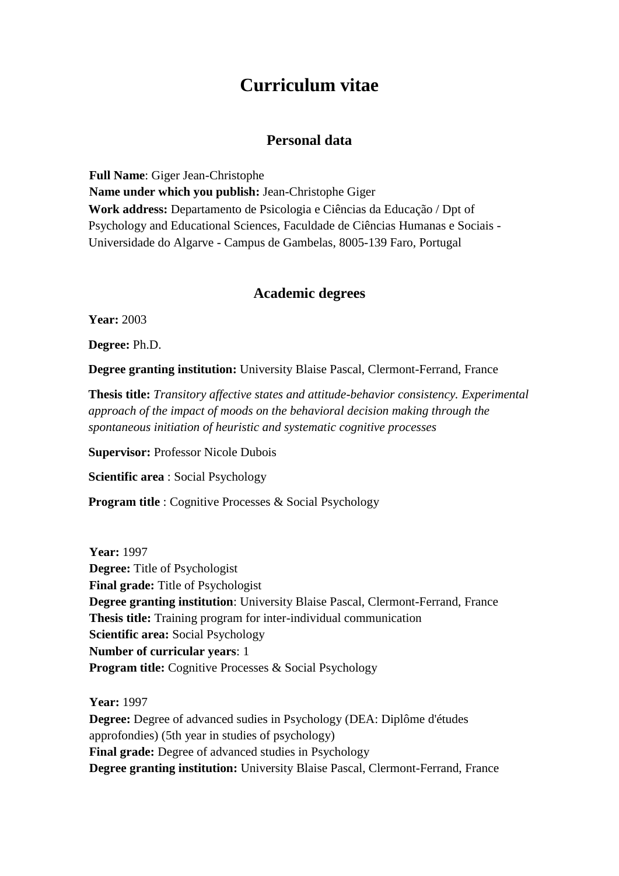# **Curriculum vitae**

## **Personal data**

**Full Name**: Giger Jean-Christophe **Name under which you publish:** Jean-Christophe Giger **Work address:** Departamento de Psicologia e Ciências da Educação / Dpt of Psychology and Educational Sciences, Faculdade de Ciências Humanas e Sociais - Universidade do Algarve - Campus de Gambelas, 8005-139 Faro, Portugal

# **Academic degrees**

**Year:** 2003

**Degree:** Ph.D.

**Degree granting institution:** University Blaise Pascal, Clermont-Ferrand, France

**Thesis title:** *Transitory affective states and attitude-behavior consistency. Experimental approach of the impact of moods on the behavioral decision making through the spontaneous initiation of heuristic and systematic cognitive processes*

**Supervisor:** Professor Nicole Dubois

**Scientific area** : Social Psychology

**Program title** : Cognitive Processes & Social Psychology

**Year:** 1997 **Degree:** Title of Psychologist **Final grade:** Title of Psychologist **Degree granting institution**: University Blaise Pascal, Clermont-Ferrand, France **Thesis title:** Training program for inter-individual communication **Scientific area:** Social Psychology **Number of curricular years**: 1 **Program title:** Cognitive Processes & Social Psychology

**Year:** 1997

**Degree:** Degree of advanced sudies in Psychology (DEA: Diplôme d'études approfondies) (5th year in studies of psychology) **Final grade:** Degree of advanced studies in Psychology **Degree granting institution:** University Blaise Pascal, Clermont-Ferrand, France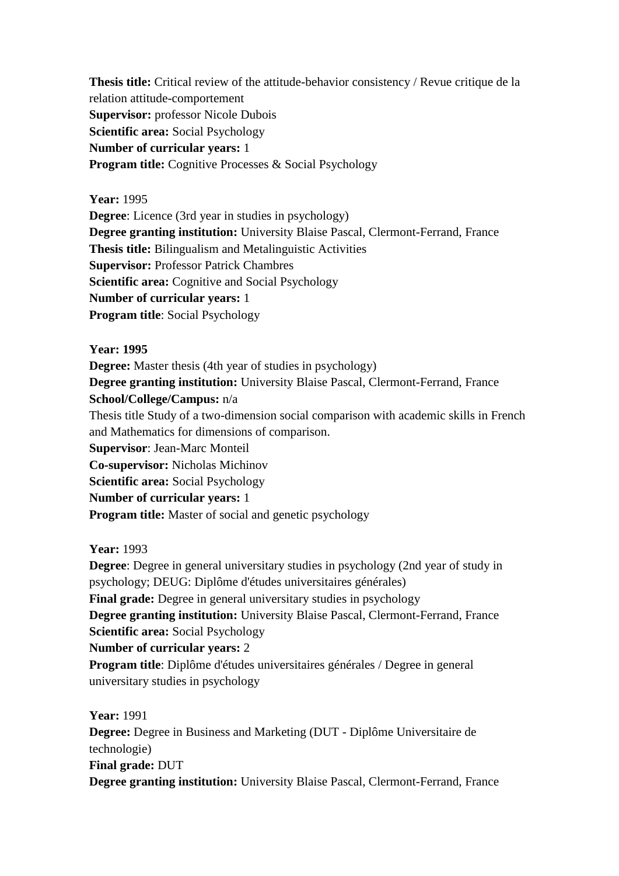**Thesis title:** Critical review of the attitude-behavior consistency / Revue critique de la relation attitude-comportement **Supervisor:** professor Nicole Dubois **Scientific area:** Social Psychology **Number of curricular years:** 1 **Program title:** Cognitive Processes & Social Psychology

## **Year:** 1995

**Degree**: Licence (3rd year in studies in psychology) **Degree granting institution:** University Blaise Pascal, Clermont-Ferrand, France **Thesis title:** Bilingualism and Metalinguistic Activities **Supervisor:** Professor Patrick Chambres **Scientific area:** Cognitive and Social Psychology **Number of curricular years:** 1 **Program title**: Social Psychology

## **Year: 1995**

**Degree:** Master thesis (4th year of studies in psychology)

**Degree granting institution:** University Blaise Pascal, Clermont-Ferrand, France **School/College/Campus:** n/a

Thesis title Study of a two-dimension social comparison with academic skills in French and Mathematics for dimensions of comparison.

**Supervisor**: Jean-Marc Monteil

**Co-supervisor:** Nicholas Michinov

**Scientific area:** Social Psychology

**Number of curricular years:** 1

**Program title:** Master of social and genetic psychology

**Year:** 1993

**Degree**: Degree in general universitary studies in psychology (2nd year of study in psychology; DEUG: Diplôme d'études universitaires générales) **Final grade:** Degree in general universitary studies in psychology **Degree granting institution:** University Blaise Pascal, Clermont-Ferrand, France **Scientific area:** Social Psychology **Number of curricular years:** 2 **Program title**: Diplôme d'études universitaires générales / Degree in general universitary studies in psychology

**Year:** 1991 **Degree:** Degree in Business and Marketing (DUT - Diplôme Universitaire de technologie) **Final grade:** DUT **Degree granting institution:** University Blaise Pascal, Clermont-Ferrand, France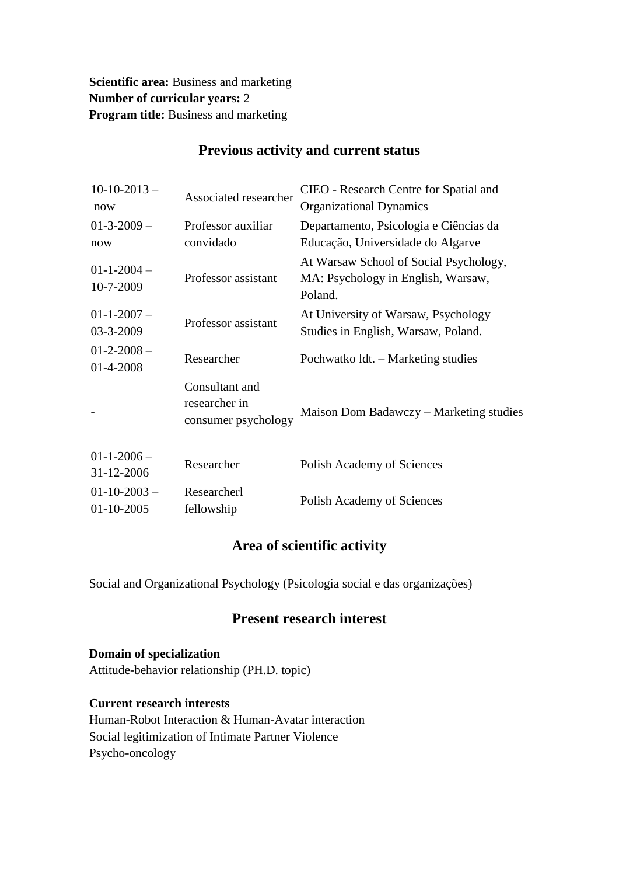**Scientific area:** Business and marketing **Number of curricular years:** 2 **Program title:** Business and marketing

| $10-10-2013-$<br>now            | Associated researcher                                  | CIEO - Research Centre for Spatial and<br><b>Organizational Dynamics</b>                |
|---------------------------------|--------------------------------------------------------|-----------------------------------------------------------------------------------------|
| $01-3-2009-$<br>now             | Professor auxiliar<br>convidado                        | Departamento, Psicologia e Ciências da<br>Educação, Universidade do Algarve             |
| $01 - 1 - 2004 -$<br>10-7-2009  | Professor assistant                                    | At Warsaw School of Social Psychology,<br>MA: Psychology in English, Warsaw,<br>Poland. |
| $01-1-2007-$<br>03-3-2009       | Professor assistant                                    | At University of Warsaw, Psychology<br>Studies in English, Warsaw, Poland.              |
| $01-2-2008-$<br>01-4-2008       | Researcher                                             | Pochwatko 1dt. – Marketing studies                                                      |
|                                 | Consultant and<br>researcher in<br>consumer psychology | Maison Dom Badawczy - Marketing studies                                                 |
| $01 - 1 - 2006 -$<br>31-12-2006 | Researcher                                             | Polish Academy of Sciences                                                              |

# **Previous activity and current status**

# **Area of scientific activity**

Fellowship Polish Academy of Sciences

Social and Organizational Psychology (Psicologia social e das organizações)

# **Present research interest**

**Domain of specialization** Attitude-behavior relationship (PH.D. topic)

Researcherl

**Current research interests**

 $01-10-2003$  – 01-10-2005

Human-Robot Interaction & Human-Avatar interaction Social legitimization of Intimate Partner Violence Psycho-oncology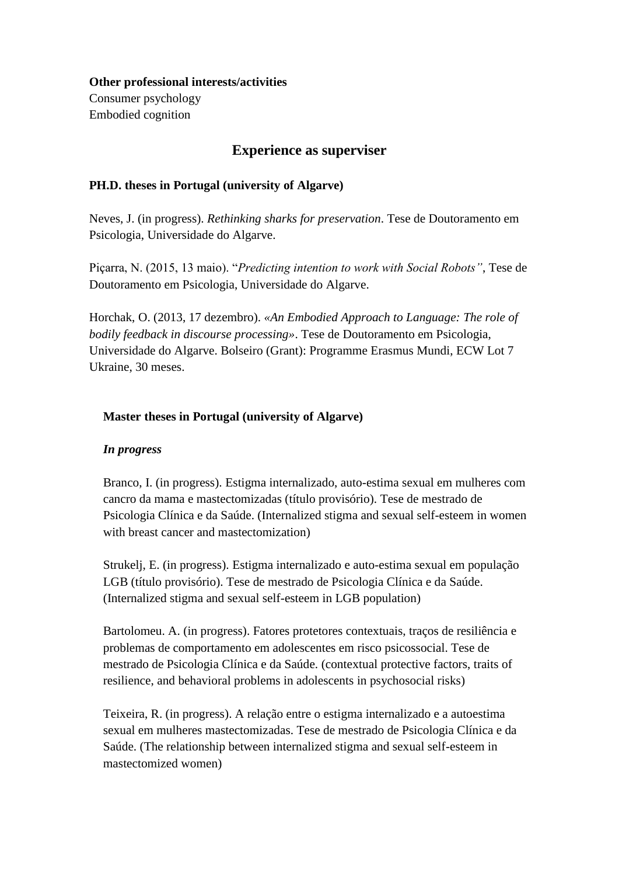# **Other professional interests/activities**

Consumer psychology Embodied cognition

# **Experience as superviser**

## **PH.D. theses in Portugal (university of Algarve)**

Neves, J. (in progress). *Rethinking sharks for preservation*. Tese de Doutoramento em Psicologia, Universidade do Algarve.

Piçarra, N. (2015, 13 maio). "*Predicting intention to work with Social Robots"*, Tese de Doutoramento em Psicologia, Universidade do Algarve.

Horchak, O. (2013, 17 dezembro). *«An Embodied Approach to Language: The role of bodily feedback in discourse processing»*. Tese de Doutoramento em Psicologia, Universidade do Algarve. Bolseiro (Grant): Programme Erasmus Mundi, ECW Lot 7 Ukraine, 30 meses.

## **Master theses in Portugal (university of Algarve)**

## *In progress*

Branco, I. (in progress). Estigma internalizado, auto-estima sexual em mulheres com cancro da mama e mastectomizadas (título provisório). Tese de mestrado de Psicologia Clínica e da Saúde. (Internalized stigma and sexual self-esteem in women with breast cancer and mastectomization)

Strukelj, E. (in progress). Estigma internalizado e auto-estima sexual em população LGB (título provisório). Tese de mestrado de Psicologia Clínica e da Saúde. (Internalized stigma and sexual self-esteem in LGB population)

Bartolomeu. A. (in progress). Fatores protetores contextuais, traços de resiliência e problemas de comportamento em adolescentes em risco psicossocial. Tese de mestrado de Psicologia Clínica e da Saúde. (contextual protective factors, traits of resilience, and behavioral problems in adolescents in psychosocial risks)

Teixeira, R. (in progress). A relação entre o estigma internalizado e a autoestima sexual em mulheres mastectomizadas. Tese de mestrado de Psicologia Clínica e da Saúde. (The relationship between internalized stigma and sexual self-esteem in mastectomized women)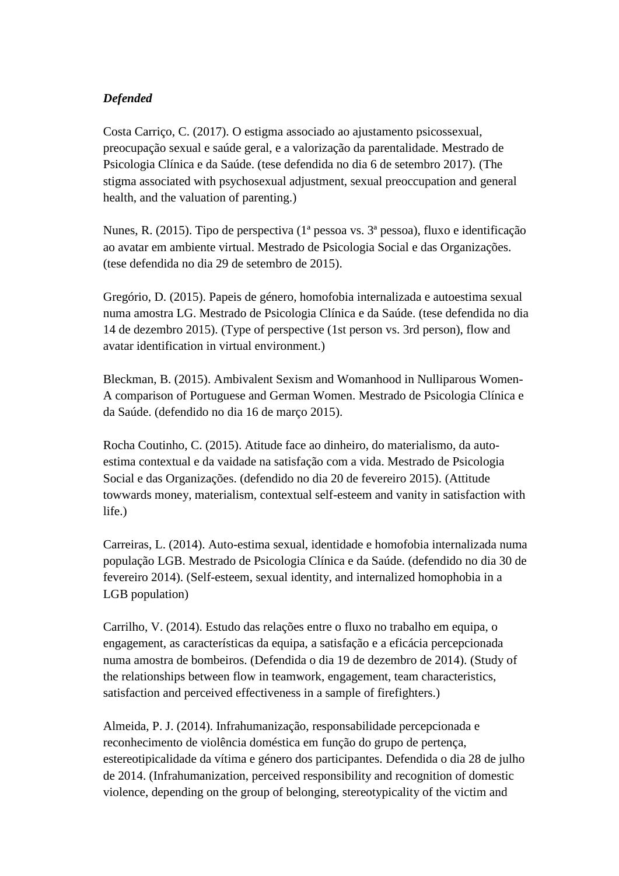## *Defended*

Costa Carriço, C. (2017). O estigma associado ao ajustamento psicossexual, preocupação sexual e saúde geral, e a valorização da parentalidade. Mestrado de Psicologia Clínica e da Saúde. (tese defendida no dia 6 de setembro 2017). (The stigma associated with psychosexual adjustment, sexual preoccupation and general health, and the valuation of parenting.)

Nunes, R. (2015). Tipo de perspectiva (1ª pessoa vs. 3ª pessoa), fluxo e identificação ao avatar em ambiente virtual. Mestrado de Psicologia Social e das Organizações. (tese defendida no dia 29 de setembro de 2015).

Gregório, D. (2015). Papeis de género, homofobia internalizada e autoestima sexual numa amostra LG. Mestrado de Psicologia Clínica e da Saúde. (tese defendida no dia 14 de dezembro 2015). (Type of perspective (1st person vs. 3rd person), flow and avatar identification in virtual environment.)

Bleckman, B. (2015). Ambivalent Sexism and Womanhood in Nulliparous Women-A comparison of Portuguese and German Women. Mestrado de Psicologia Clínica e da Saúde. (defendido no dia 16 de março 2015).

Rocha Coutinho, C. (2015). Atitude face ao dinheiro, do materialismo, da autoestima contextual e da vaidade na satisfação com a vida. Mestrado de Psicologia Social e das Organizações. (defendido no dia 20 de fevereiro 2015). (Attitude towwards money, materialism, contextual self-esteem and vanity in satisfaction with life.)

Carreiras, L. (2014). Auto-estima sexual, identidade e homofobia internalizada numa população LGB. Mestrado de Psicologia Clínica e da Saúde. (defendido no dia 30 de fevereiro 2014). (Self-esteem, sexual identity, and internalized homophobia in a LGB population)

Carrilho, V. (2014). Estudo das relações entre o fluxo no trabalho em equipa, o engagement, as características da equipa, a satisfação e a eficácia percepcionada numa amostra de bombeiros. (Defendida o dia 19 de dezembro de 2014). (Study of the relationships between flow in teamwork, engagement, team characteristics, satisfaction and perceived effectiveness in a sample of firefighters.)

Almeida, P. J. (2014). Infrahumanização, responsabilidade percepcionada e reconhecimento de violência doméstica em função do grupo de pertença, estereotipicalidade da vítima e género dos participantes. Defendida o dia 28 de julho de 2014. (Infrahumanization, perceived responsibility and recognition of domestic violence, depending on the group of belonging, stereotypicality of the victim and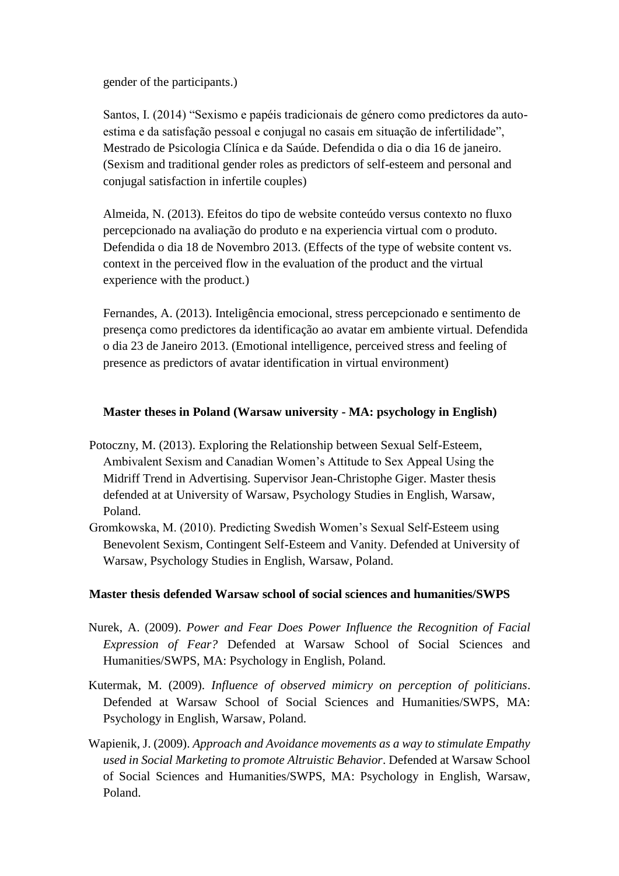gender of the participants.)

Santos, I. (2014) "Sexismo e papéis tradicionais de género como predictores da autoestima e da satisfação pessoal e conjugal no casais em situação de infertilidade", Mestrado de Psicologia Clínica e da Saúde. Defendida o dia o dia 16 de janeiro. (Sexism and traditional gender roles as predictors of self-esteem and personal and conjugal satisfaction in infertile couples)

Almeida, N. (2013). Efeitos do tipo de website conteúdo versus contexto no fluxo percepcionado na avaliação do produto e na experiencia virtual com o produto. Defendida o dia 18 de Novembro 2013. (Effects of the type of website content vs. context in the perceived flow in the evaluation of the product and the virtual experience with the product.)

Fernandes, A. (2013). Inteligência emocional, stress percepcionado e sentimento de presença como predictores da identificação ao avatar em ambiente virtual. Defendida o dia 23 de Janeiro 2013. (Emotional intelligence, perceived stress and feeling of presence as predictors of avatar identification in virtual environment)

### **Master theses in Poland (Warsaw university - MA: psychology in English)**

- Potoczny, M. (2013). Exploring the Relationship between Sexual Self-Esteem, Ambivalent Sexism and Canadian Women's Attitude to Sex Appeal Using the Midriff Trend in Advertising. Supervisor Jean-Christophe Giger. Master thesis defended at at University of Warsaw, Psychology Studies in English, Warsaw, Poland.
- Gromkowska, M. (2010). Predicting Swedish Women's Sexual Self-Esteem using Benevolent Sexism, Contingent Self-Esteem and Vanity. Defended at University of Warsaw, Psychology Studies in English, Warsaw, Poland.

## **Master thesis defended Warsaw school of social sciences and humanities/SWPS**

- Nurek, A. (2009). *Power and Fear Does Power Influence the Recognition of Facial Expression of Fear?* Defended at Warsaw School of Social Sciences and Humanities/SWPS, MA: Psychology in English, Poland.
- Kutermak, M. (2009). *Influence of observed mimicry on perception of politicians*. Defended at Warsaw School of Social Sciences and Humanities/SWPS, MA: Psychology in English, Warsaw, Poland.
- Wapienik, J. (2009). *Approach and Avoidance movements as a way to stimulate Empathy used in Social Marketing to promote Altruistic Behavior*. Defended at Warsaw School of Social Sciences and Humanities/SWPS, MA: Psychology in English, Warsaw, Poland.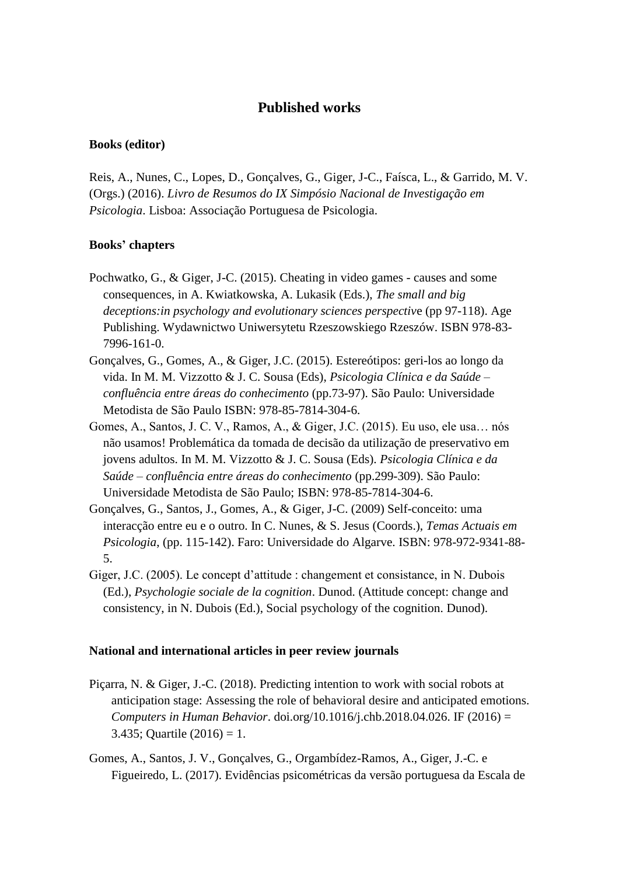## **Published works**

#### **Books (editor)**

Reis, A., Nunes, C., Lopes, D., Gonçalves, G., Giger, J-C., Faísca, L., & Garrido, M. V. (Orgs.) (2016). *Livro de Resumos do IX Simpósio Nacional de Investigação em Psicologia*. Lisboa: Associação Portuguesa de Psicologia.

#### **Books' chapters**

- Pochwatko, G., & Giger, J-C. (2015). Cheating in video games causes and some consequences, in A. Kwiatkowska, A. Lukasik (Eds.), *The small and big deceptions:in psychology and evolutionary sciences perspectiv*e (pp 97-118). Age Publishing. Wydawnictwo Uniwersytetu Rzeszowskiego Rzeszów. ISBN 978-83- 7996-161-0.
- Gonçalves, G., Gomes, A., & Giger, J.C. (2015). Estereótipos: geri-los ao longo da vida. In M. M. Vizzotto & J. C. Sousa (Eds), *Psicologia Clínica e da Saúde – confluência entre áreas do conhecimento* (pp.73-97). São Paulo: Universidade Metodista de São Paulo ISBN: 978-85-7814-304-6.
- Gomes, A., Santos, J. C. V., Ramos, A., & Giger, J.C. (2015). Eu uso, ele usa… nós não usamos! Problemática da tomada de decisão da utilização de preservativo em jovens adultos. In M. M. Vizzotto & J. C. Sousa (Eds). *Psicologia Clínica e da Saúde – confluência entre áreas do conhecimento* (pp.299-309). São Paulo: Universidade Metodista de São Paulo; ISBN: 978-85-7814-304-6.
- Gonçalves, G., Santos, J., Gomes, A., & Giger, J-C. (2009) Self-conceito: uma interacção entre eu e o outro. In C. Nunes, & S. Jesus (Coords.), *Temas Actuais em Psicologia*, (pp. 115-142). Faro: Universidade do Algarve. ISBN: 978-972-9341-88- 5.
- Giger, J.C. (2005). Le concept d'attitude : changement et consistance, in N. Dubois (Ed.), *Psychologie sociale de la cognition*. Dunod. (Attitude concept: change and consistency, in N. Dubois (Ed.), Social psychology of the cognition. Dunod).

#### **National and international articles in peer review journals**

- Piçarra, N. & Giger, J.-C. (2018). Predicting intention to work with social robots at anticipation stage: Assessing the role of behavioral desire and anticipated emotions. *Computers in Human Behavior*. doi.org/10.1016/j.chb.2018.04.026. IF (2016) = 3.435; Quartile  $(2016) = 1$ .
- Gomes, A., Santos, J. V., Gonçalves, G., Orgambídez-Ramos, A., Giger, J.-C. e Figueiredo, L. (2017). Evidências psicométricas da versão portuguesa da Escala de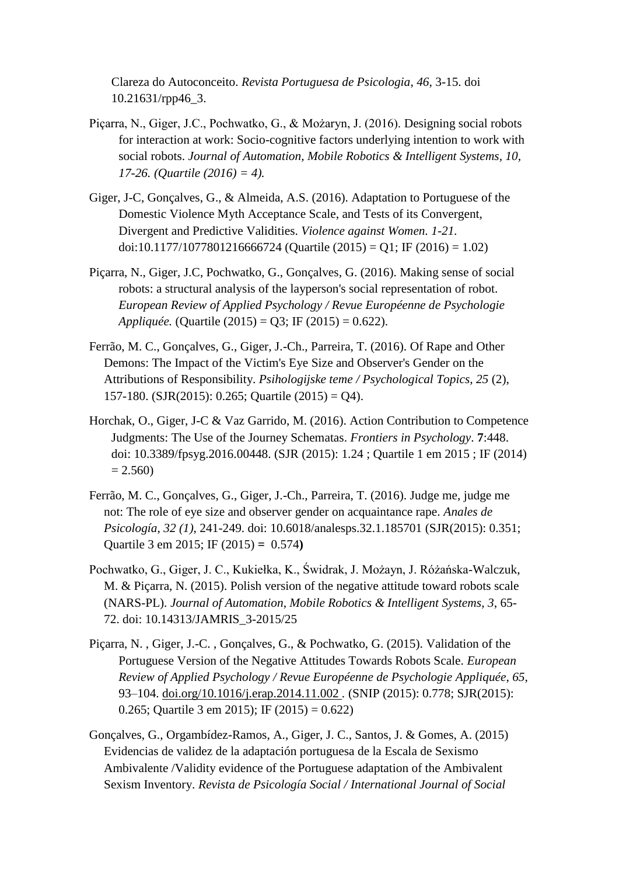Clareza do Autoconceito. *Revista Portuguesa de Psicologia*, *46*, 3-15. doi 10.21631/rpp46\_3.

- Piçarra, N., Giger, J.C., Pochwatko, G., & Możaryn, J. (2016). Designing social robots for interaction at work: Socio-cognitive factors underlying intention to work with social robots. *Journal of Automation, Mobile Robotics & Intelligent Systems, 10, 17-26. (Quartile (2016) = 4).*
- Giger, J-C, Gonçalves, G., & Almeida, A.S. (2016). Adaptation to Portuguese of the Domestic Violence Myth Acceptance Scale, and Tests of its Convergent, Divergent and Predictive Validities. *Violence against Women. 1-21.*  doi:10.1177/1077801216666724 (Quartile (2015) = Q1; IF (2016) = 1.02)
- Piçarra, N., Giger, J.C, Pochwatko, G., Gonçalves, G. (2016). Making sense of social robots: a structural analysis of the layperson's social representation of robot. *European Review of Applied Psychology / Revue Européenne de Psychologie Appliquée.* (Quartile (2015) = Q3; IF (2015) = 0.622).
- Ferrão, M. C., Gonçalves, G., Giger, J.-Ch., Parreira, T. (2016). Of Rape and Other Demons: The Impact of the Victim's Eye Size and Observer's Gender on the Attributions of Responsibility. *Psihologijske teme / Psychological Topics*, *25* (2), 157-180. (SJR(2015): 0.265; Quartile (2015) = Q4).
- Horchak, O., Giger, J-C & Vaz Garrido, M. (2016). Action Contribution to Competence Judgments: The Use of the Journey Schematas. *Frontiers in Psychology*. **7**:448. doi: 10.3389/fpsyg.2016.00448. (SJR (2015): 1.24 ; Quartile 1 em 2015 ; IF (2014)  $= 2.560$
- Ferrão, M. C., Gonçalves, G., Giger, J.-Ch., Parreira, T. (2016). Judge me, judge me not: The role of eye size and observer gender on acquaintance rape. *Anales de Psicología*, *32 (1)*, 241-249. doi: 10.6018/analesps.32.1.185701 (SJR(2015): 0.351; Quartile 3 em 2015; IF (2015) **=** 0.574**)**
- Pochwatko, G., Giger, J. C., Kukiełka, K., Świdrak, J. Możayn, J. Różańska-Walczuk, M. & Piçarra, N. (2015). Polish version of the negative attitude toward robots scale (NARS-PL). *Journal of Automation, Mobile Robotics & Intelligent Systems*, *3*, 65- 72. doi: 10.14313/JAMRIS\_3-2015/25
- Piçarra, N. , Giger, J.-C. , Gonçalves, G., & Pochwatko, G. (2015). Validation of the Portuguese Version of the Negative Attitudes Towards Robots Scale. *European Review of Applied Psychology / Revue Européenne de Psychologie Appliquée*, *65*, 93–104. [doi.org/10.1016/j.erap.2014.11.002](http://dx.doi.org/10.1016/j.erap.2014.11.002) *.* (SNIP (2015): 0.778; SJR(2015): 0.265; Quartile 3 em 2015); IF (2015) = 0.622)
- Gonçalves, G., Orgambídez-Ramos, A., Giger, J. C., Santos, J. & Gomes, A. (2015) Evidencias de validez de la adaptación portuguesa de la Escala de Sexismo Ambivalente /Validity evidence of the Portuguese adaptation of the Ambivalent Sexism Inventory. *Revista de Psicología Social / International Journal of Social*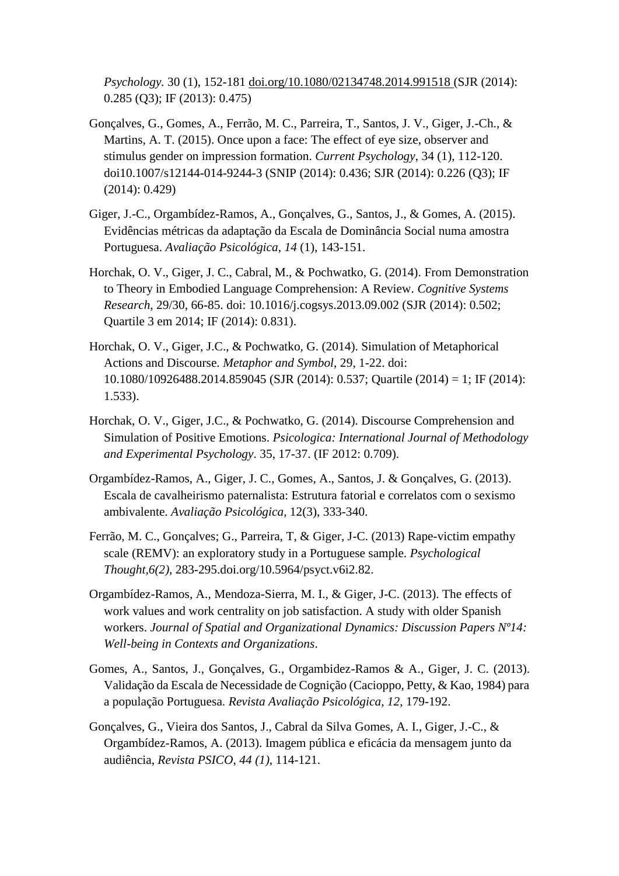*Psychology.* 30 (1), 152-181 [doi.org/10.1080/02134748.2014.991518](http://dx.doi.org/10.1080/02134748.2014.991518) (SJR (2014): 0.285 (Q3); IF (2013): 0.475)

- Gonçalves, G., Gomes, A., Ferrão, M. C., Parreira, T., Santos, J. V., Giger, J.-Ch., & Martins, A. T. (2015). Once upon a face: The effect of eye size, observer and stimulus gender on impression formation. *Current Psychology*, 34 (1), 112-120. doi10.1007/s12144-014-9244-3 (SNIP (2014): 0.436; SJR (2014): 0.226 (Q3); IF (2014): 0.429)
- Giger, J.-C., Orgambídez-Ramos, A., Gonçalves, G., Santos, J., & Gomes, A. (2015). Evidências métricas da adaptação da Escala de Dominância Social numa amostra Portuguesa. *Avaliação Psicológica*, *14* (1), 143-151.
- Horchak, O. V., Giger, J. C., Cabral, M., & Pochwatko, G. (2014). From Demonstration to Theory in Embodied Language Comprehension: A Review. *Cognitive Systems Research*, 29/30, 66-85. doi: 10.1016/j.cogsys.2013.09.002 (SJR (2014): 0.502; Quartile 3 em 2014; IF (2014): 0.831).
- Horchak, O. V., Giger, J.C., & Pochwatko, G. (2014). Simulation of Metaphorical Actions and Discourse. *Metaphor and Symbol*, 29, 1-22. doi: 10.1080/10926488.2014.859045 (SJR (2014): 0.537; Quartile (2014) = 1; IF (2014): 1.533).
- Horchak, O. V., Giger, J.C., & Pochwatko, G. (2014). Discourse Comprehension and Simulation of Positive Emotions. *Psicologica: International Journal of Methodology and Experimental Psychology*. 35, 17-37. (IF 2012: 0.709).
- Orgambídez-Ramos, A., Giger, J. C., Gomes, A., Santos, J. & Gonçalves, G. (2013). Escala de cavalheirismo paternalista: Estrutura fatorial e correlatos com o sexismo ambivalente. *Avaliação Psicológica*, 12(3), 333-340.
- Ferrão, M. C., Gonçalves; G., Parreira, T, & Giger, J-C. (2013) Rape-victim empathy scale (REMV): an exploratory study in a Portuguese sample. *Psychological Thought*,*6(2)*, 283-295.doi.org/10.5964/psyct.v6i2.82.
- Orgambídez-Ramos, A., Mendoza-Sierra, M. I., & Giger, J-C. (2013). The effects of work values and work centrality on job satisfaction. A study with older Spanish workers. *Journal of Spatial and Organizational Dynamics: Discussion Papers Nº14: Well-being in Contexts and Organizations*.
- Gomes, A., Santos, J., Gonçalves, G., Orgambidez-Ramos & A., Giger, J. C. (2013). Validação da Escala de Necessidade de Cognição (Cacioppo, Petty, & Kao, 1984) para a população Portuguesa. *Revista Avaliação Psicológica*, *12*, 179-192.
- Gonçalves, G., Vieira dos Santos, J., Cabral da Silva Gomes, A. I., Giger, J.-C., & Orgambídez-Ramos, A. (2013). Imagem pública e eficácia da mensagem junto da audiência, *Revista PSICO*, *44 (1)*, 114-121.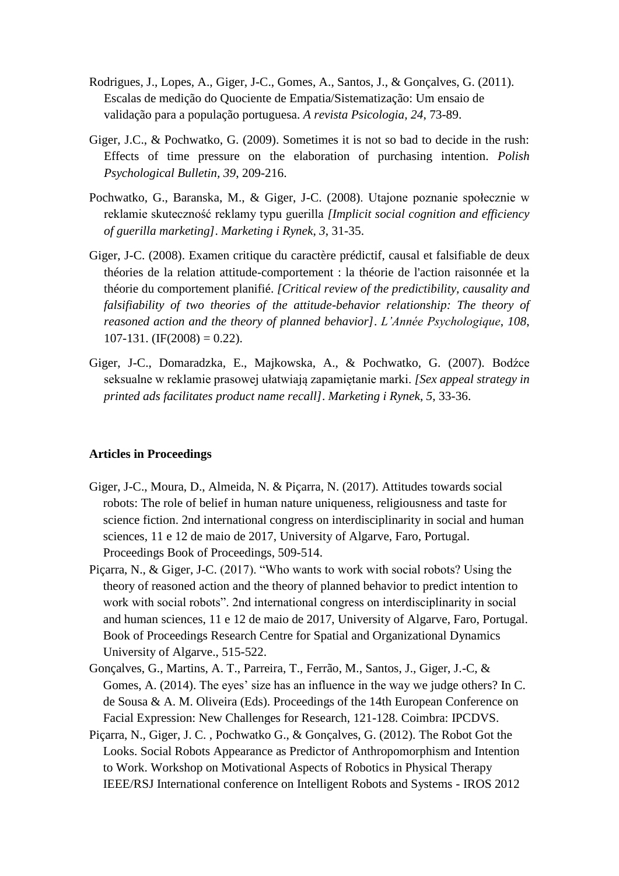- Rodrigues, J., Lopes, A., Giger, J-C., Gomes, A., Santos, J., & Gonçalves, G. (2011). Escalas de medição do Quociente de Empatia/Sistematização: Um ensaio de validação para a população portuguesa. *A revista Psicologia, 24*, 73-89.
- Giger, J.C., & Pochwatko, G. (2009). Sometimes it is not so bad to decide in the rush: Effects of time pressure on the elaboration of purchasing intention. *Polish Psychological Bulletin, 39*, 209-216.
- Pochwatko, G., Baranska, M., & Giger, J-C. (2008). Utajone poznanie społecznie w reklamie skuteczność reklamy typu guerilla *[Implicit social cognition and efficiency of guerilla marketing]*. *Marketing i Rynek*, *3*, 31-35.
- Giger, J-C. (2008). Examen critique du caractère prédictif, causal et falsifiable de deux théories de la relation attitude-comportement : la théorie de l'action raisonnée et la théorie du comportement planifié. *[Critical review of the predictibility, causality and falsifiability of two theories of the attitude-behavior relationship: The theory of reasoned action and the theory of planned behavior]*. *L'Année Psychologique*, *108*,  $107-131.$  (IF(2008) = 0.22).
- Giger, J-C., Domaradzka, E., Majkowska, A., & Pochwatko, G. (2007). Bodźce seksualne w reklamie prasowej ułatwiają zapamiętanie marki. *[Sex appeal strategy in printed ads facilitates product name recall]*. *Marketing i Rynek*, *5*, 33-36.

#### **Articles in Proceedings**

- Giger, J-C., Moura, D., Almeida, N. & Piçarra, N. (2017). Attitudes towards social robots: The role of belief in human nature uniqueness, religiousness and taste for science fiction. 2nd international congress on interdisciplinarity in social and human sciences, 11 e 12 de maio de 2017, University of Algarve, Faro, Portugal. Proceedings Book of Proceedings, 509-514.
- Piçarra, N., & Giger, J-C. (2017). "Who wants to work with social robots? Using the theory of reasoned action and the theory of planned behavior to predict intention to work with social robots". 2nd international congress on interdisciplinarity in social and human sciences, 11 e 12 de maio de 2017, University of Algarve, Faro, Portugal. Book of Proceedings Research Centre for Spatial and Organizational Dynamics University of Algarve., 515-522.
- Gonçalves, G., Martins, A. T., Parreira, T., Ferrão, M., Santos, J., Giger, J.-C, & Gomes, A. (2014). The eyes' size has an influence in the way we judge others? In C. de Sousa & A. M. Oliveira (Eds). Proceedings of the 14th European Conference on Facial Expression: New Challenges for Research, 121-128. Coimbra: IPCDVS.
- Piçarra, N., Giger, J. C. , Pochwatko G., & Gonçalves, G. (2012). The Robot Got the Looks. Social Robots Appearance as Predictor of Anthropomorphism and Intention to Work. Workshop on Motivational Aspects of Robotics in Physical Therapy IEEE/RSJ International conference on Intelligent Robots and Systems - IROS 2012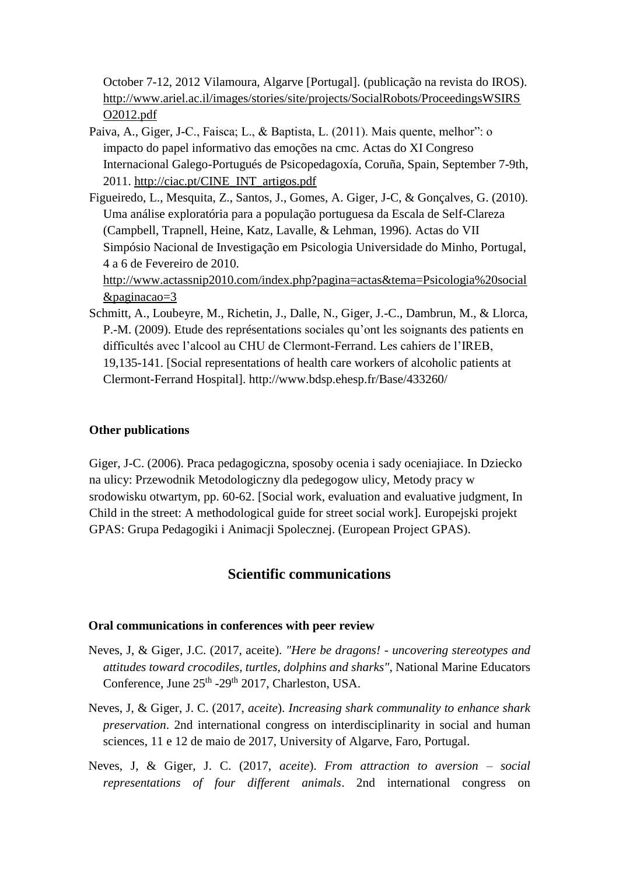October 7-12, 2012 Vilamoura, Algarve [Portugal]. (publicação na revista do IROS). [http://www.ariel.ac.il/images/stories/site/projects/SocialRobots/ProceedingsWSIRS](http://www.ariel.ac.il/images/stories/site/projects/SocialRobots/ProceedingsWSIRSO2012.pdf) [O2012.pdf](http://www.ariel.ac.il/images/stories/site/projects/SocialRobots/ProceedingsWSIRSO2012.pdf)

- Paiva, A., Giger, J-C., Faisca; L., & Baptista, L. (2011). Mais quente, melhor": o impacto do papel informativo das emoções na cmc. Actas do XI Congreso Internacional Galego-Portugués de Psicopedagoxía, Coruña, Spain, September 7-9th, 2011. [http://ciac.pt/CINE\\_INT\\_artigos.pdf](http://ciac.pt/CINE_INT_artigos.pdf)
- Figueiredo, L., Mesquita, Z., Santos, J., Gomes, A. Giger, J-C, & Gonçalves, G. (2010). Uma análise exploratória para a população portuguesa da Escala de Self-Clareza (Campbell, Trapnell, Heine, Katz, Lavalle, & Lehman, 1996). Actas do VII Simpósio Nacional de Investigação em Psicologia Universidade do Minho, Portugal, 4 a 6 de Fevereiro de 2010.

[http://www.actassnip2010.com/index.php?pagina=actas&tema=Psicologia%20social](http://www.actassnip2010.com/index.php?pagina=actas&tema=Psicologia%20social&paginacao=3) [&paginacao=3](http://www.actassnip2010.com/index.php?pagina=actas&tema=Psicologia%20social&paginacao=3)

Schmitt, A., Loubeyre, M., Richetin, J., Dalle, N., Giger, J.-C., Dambrun, M., & Llorca, P.-M. (2009). Etude des représentations sociales qu'ont les soignants des patients en difficultés avec l'alcool au CHU de Clermont-Ferrand. Les cahiers de l'IREB, 19,135-141. [Social representations of health care workers of alcoholic patients at Clermont-Ferrand Hospital]. http://www.bdsp.ehesp.fr/Base/433260/

#### **Other publications**

Giger, J-C. (2006). Praca pedagogiczna, sposoby ocenia i sady oceniajiace. In Dziecko na ulicy: Przewodnik Metodologiczny dla pedegogow ulicy, Metody pracy w srodowisku otwartym, pp. 60-62. [Social work, evaluation and evaluative judgment, In Child in the street: A methodological guide for street social work]. Europejski projekt GPAS: Grupa Pedagogiki i Animacji Spolecznej. (European Project GPAS).

# **Scientific communications**

#### **Oral communications in conferences with peer review**

- Neves, J, & Giger, J.C. (2017, aceite). *"Here be dragons! - uncovering stereotypes and attitudes toward crocodiles, turtles, dolphins and sharks"*, National Marine Educators Conference, June 25<sup>th</sup> -29<sup>th</sup> 2017, Charleston, USA.
- Neves, J, & Giger, J. C. (2017, *aceite*). *Increasing shark communality to enhance shark preservation*. 2nd international congress on interdisciplinarity in social and human sciences, 11 e 12 de maio de 2017, University of Algarve, Faro, Portugal.
- Neves, J, & Giger, J. C. (2017, *aceite*). *From attraction to aversion – social representations of four different animals*. 2nd international congress on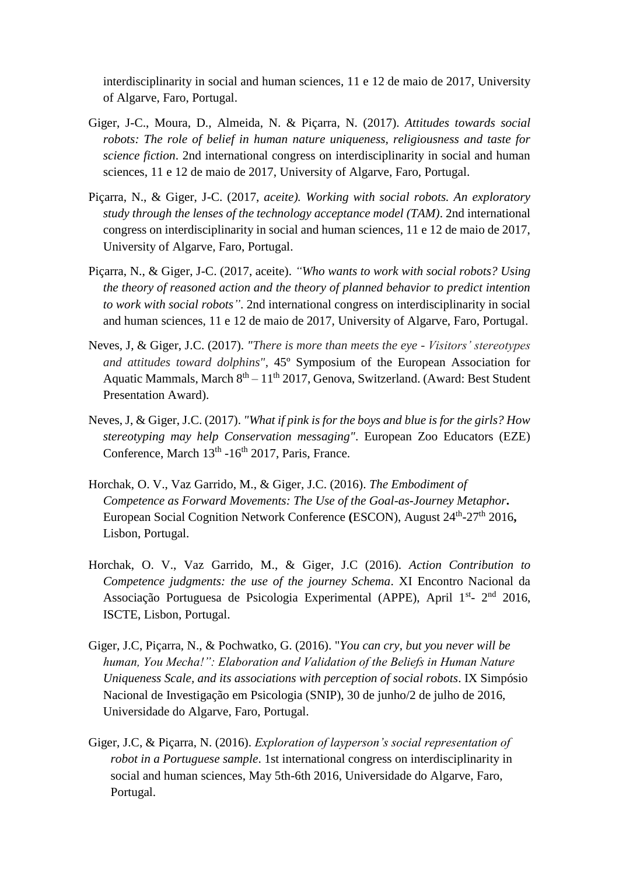interdisciplinarity in social and human sciences, 11 e 12 de maio de 2017, University of Algarve, Faro, Portugal.

- Giger, J-C., Moura, D., Almeida, N. & Piçarra, N. (2017). *Attitudes towards social robots: The role of belief in human nature uniqueness, religiousness and taste for science fiction*. 2nd international congress on interdisciplinarity in social and human sciences, 11 e 12 de maio de 2017, University of Algarve, Faro, Portugal.
- Piçarra, N., & Giger, J-C. (2017, *aceite). Working with social robots. An exploratory study through the lenses of the technology acceptance model (TAM)*. 2nd international congress on interdisciplinarity in social and human sciences, 11 e 12 de maio de 2017, University of Algarve, Faro, Portugal.
- Piçarra, N., & Giger, J-C. (2017, aceite). *"Who wants to work with social robots? Using the theory of reasoned action and the theory of planned behavior to predict intention to work with social robots"*. 2nd international congress on interdisciplinarity in social and human sciences, 11 e 12 de maio de 2017, University of Algarve, Faro, Portugal.
- Neves, J, & Giger, J.C. (2017). *"There is more than meets the eye - Visitors' stereotypes and attitudes toward dolphins"*, 45º Symposium of the European Association for Aquatic Mammals, March  $8<sup>th</sup> - 11<sup>th</sup> 2017$ , Genova, Switzerland. (Award: Best Student Presentation Award).
- Neves, J, & Giger, J.C. (2017). *"What if pink is for the boys and blue is for the girls? How stereotyping may help Conservation messaging"*. European Zoo Educators (EZE) Conference, March 13<sup>th</sup> -16<sup>th</sup> 2017, Paris, France.
- Horchak, O. V., Vaz Garrido, M., & Giger, J.C. (2016). *The Embodiment of Competence as Forward Movements: The Use of the Goal-as-Journey Metaphor***.**  European Social Cognition Network Conference (ESCON), August 24<sup>th</sup>-27<sup>th</sup> 2016, Lisbon, Portugal.
- Horchak, O. V., Vaz Garrido, M., & Giger, J.C (2016). *Action Contribution to Competence judgments: the use of the journey Schema*. XI Encontro Nacional da Associação Portuguesa de Psicologia Experimental (APPE), April 1<sup>st</sup>- 2<sup>nd</sup> 2016, ISCTE, Lisbon, Portugal.
- Giger, J.C, Piçarra, N., & Pochwatko, G. (2016). "*You can cry, but you never will be human, You Mecha!": Elaboration and Validation of the Beliefs in Human Nature Uniqueness Scale, and its associations with perception of social robots*. IX Simpósio Nacional de Investigação em Psicologia (SNIP), 30 de junho/2 de julho de 2016, Universidade do Algarve, Faro, Portugal.
- Giger, J.C, & Piçarra, N. (2016). *Exploration of layperson's social representation of robot in a Portuguese sample*. 1st international congress on interdisciplinarity in social and human sciences, May 5th-6th 2016, Universidade do Algarve, Faro, Portugal.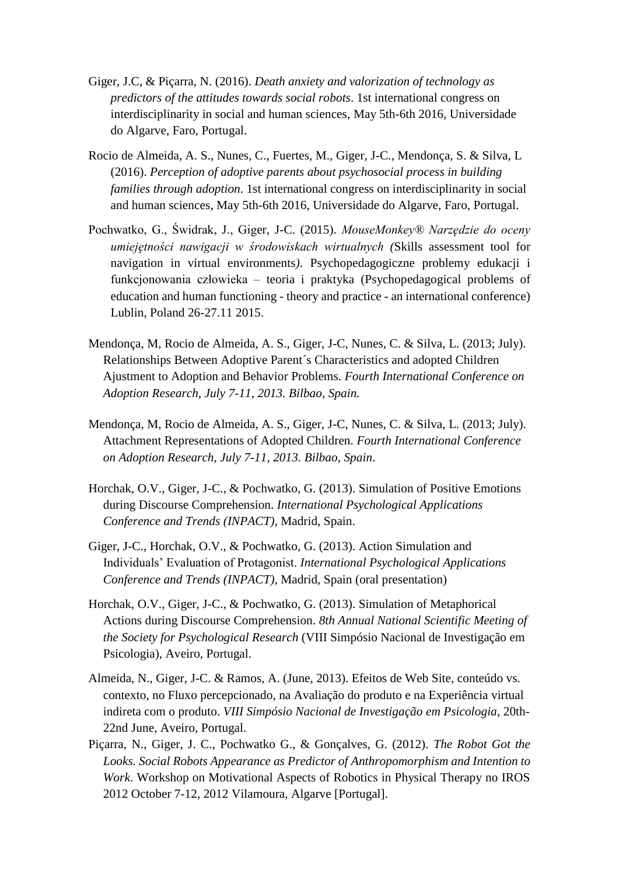- Giger, J.C, & Piçarra, N. (2016). *Death anxiety and valorization of technology as predictors of the attitudes towards social robots*. 1st international congress on interdisciplinarity in social and human sciences, May 5th-6th 2016, Universidade do Algarve, Faro, Portugal.
- Rocio de Almeida, A. S., Nunes, C., Fuertes, M., Giger, J-C., Mendonça, S. & Silva, L (2016). *Perception of adoptive parents about psychosocial process in building families through adoption*. 1st international congress on interdisciplinarity in social and human sciences, May 5th-6th 2016, Universidade do Algarve, Faro, Portugal.
- Pochwatko, G., Świdrak, J., Giger, J-C. (2015). *MouseMonkey® Narzędzie do oceny umiejętności nawigacji w środowiskach wirtualnych (*Skills assessment tool for navigation in virtual environments*)*. Psychopedagogiczne problemy edukacji i funkcjonowania człowieka – teoria i praktyka (Psychopedagogical problems of education and human functioning - theory and practice - an international conference) Lublin, Poland 26-27.11 2015.
- Mendonça, M, Rocio de Almeida, A. S., Giger, J-C, Nunes, C. & Silva, L. (2013; July). Relationships Between Adoptive Parent´s Characteristics and adopted Children Ajustment to Adoption and Behavior Problems. *Fourth International Conference on Adoption Research, July 7-11, 2013. Bilbao, Spain.*
- Mendonça, M, Rocio de Almeida, A. S., Giger, J-C, Nunes, C. & Silva, L. (2013; July). Attachment Representations of Adopted Children. *Fourth International Conference on Adoption Research, July 7-11, 2013. Bilbao, Spain*.
- Horchak, O.V., Giger, J-C., & Pochwatko, G. (2013). Simulation of Positive Emotions during Discourse Comprehension. *International Psychological Applications Conference and Trends (INPACT),* Madrid, Spain.
- Giger, J-C., Horchak, O.V., & Pochwatko, G. (2013). Action Simulation and Individuals' Evaluation of Protagonist. *International Psychological Applications Conference and Trends (INPACT),* Madrid, Spain (oral presentation)
- Horchak, O.V., Giger, J-C., & Pochwatko, G. (2013). Simulation of Metaphorical Actions during Discourse Comprehension. *8th Annual National Scientific Meeting of the Society for Psychological Research* (VIII Simpósio Nacional de Investigação em Psicologia), Aveiro, Portugal.
- Almeida, N., Giger, J-C. & Ramos, A. (June, 2013). Efeitos de Web Site, conteúdo vs. contexto, no Fluxo percepcionado, na Avaliação do produto e na Experiência virtual indireta com o produto. *VIII Simpósio Nacional de Investigação em Psicologia*, 20th-22nd June, Aveiro, Portugal.
- Piçarra, N., Giger, J. C., Pochwatko G., & Gonçalves, G. (2012). *The Robot Got the Looks. Social Robots Appearance as Predictor of Anthropomorphism and Intention to Work*. Workshop on Motivational Aspects of Robotics in Physical Therapy no IROS 2012 October 7-12, 2012 Vilamoura, Algarve [Portugal].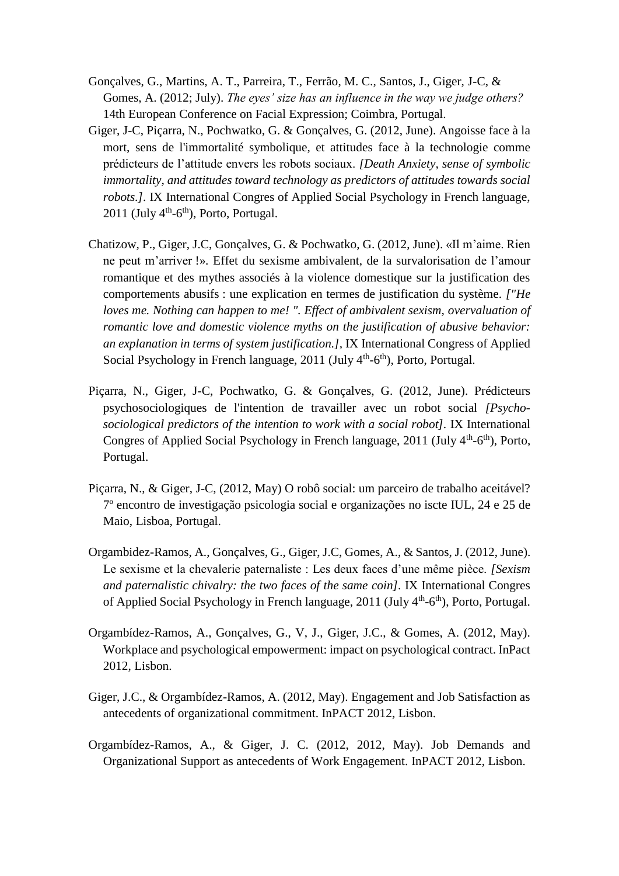- Gonçalves, G., Martins, A. T., Parreira, T., Ferrão, M. C., Santos, J., Giger, J-C, & Gomes, A. (2012; July). *The eyes' size has an influence in the way we judge others?* 14th European Conference on Facial Expression; Coimbra, Portugal.
- Giger, J-C, Piçarra, N., Pochwatko, G. & Gonçalves, G. (2012, June). Angoisse face à la mort, sens de l'immortalité symbolique, et attitudes face à la technologie comme prédicteurs de l'attitude envers les robots sociaux. *[Death Anxiety, sense of symbolic immortality, and attitudes toward technology as predictors of attitudes towards social robots.].* IX International Congres of Applied Social Psychology in French language,  $2011$  (July  $4<sup>th</sup>$ -6<sup>th</sup>), Porto, Portugal.
- Chatizow, P., Giger, J.C, Gonçalves, G. & Pochwatko, G. (2012, June). «Il m'aime. Rien ne peut m'arriver !». Effet du sexisme ambivalent, de la survalorisation de l'amour romantique et des mythes associés à la violence domestique sur la justification des comportements abusifs : une explication en termes de justification du système. *["He loves me. Nothing can happen to me! ". Effect of ambivalent sexism, overvaluation of romantic love and domestic violence myths on the justification of abusive behavior: an explanation in terms of system justification.],* IX International Congress of Applied Social Psychology in French language,  $2011$  (July  $4<sup>th</sup>$ -6<sup>th</sup>), Porto, Portugal.
- Piçarra, N., Giger, J-C, Pochwatko, G. & Gonçalves, G. (2012, June). Prédicteurs psychosociologiques de l'intention de travailler avec un robot social *[Psychosociological predictors of the intention to work with a social robot].* IX International Congres of Applied Social Psychology in French language,  $2011$  (July  $4<sup>th</sup>$ -6<sup>th</sup>), Porto, Portugal.
- Piçarra, N., & Giger, J-C, (2012, May) O robô social: um parceiro de trabalho aceitável? 7º encontro de investigação psicologia social e organizações no iscte IUL, 24 e 25 de Maio, Lisboa, Portugal.
- Orgambidez-Ramos, A., Gonçalves, G., Giger, J.C, Gomes, A., & Santos, J. (2012, June). Le sexisme et la chevalerie paternaliste : Les deux faces d'une même pièce. *[Sexism and paternalistic chivalry: the two faces of the same coin].* IX International Congres of Applied Social Psychology in French language, 2011 (July 4<sup>th</sup>-6<sup>th</sup>), Porto, Portugal.
- Orgambídez-Ramos, A., Gonçalves, G., V, J., Giger, J.C., & Gomes, A. (2012, May). Workplace and psychological empowerment: impact on psychological contract. InPact 2012, Lisbon.
- Giger, J.C., & Orgambídez-Ramos, A. (2012, May). Engagement and Job Satisfaction as antecedents of organizational commitment. InPACT 2012, Lisbon.
- Orgambídez-Ramos, A., & Giger, J. C. (2012, 2012, May). Job Demands and Organizational Support as antecedents of Work Engagement. InPACT 2012, Lisbon.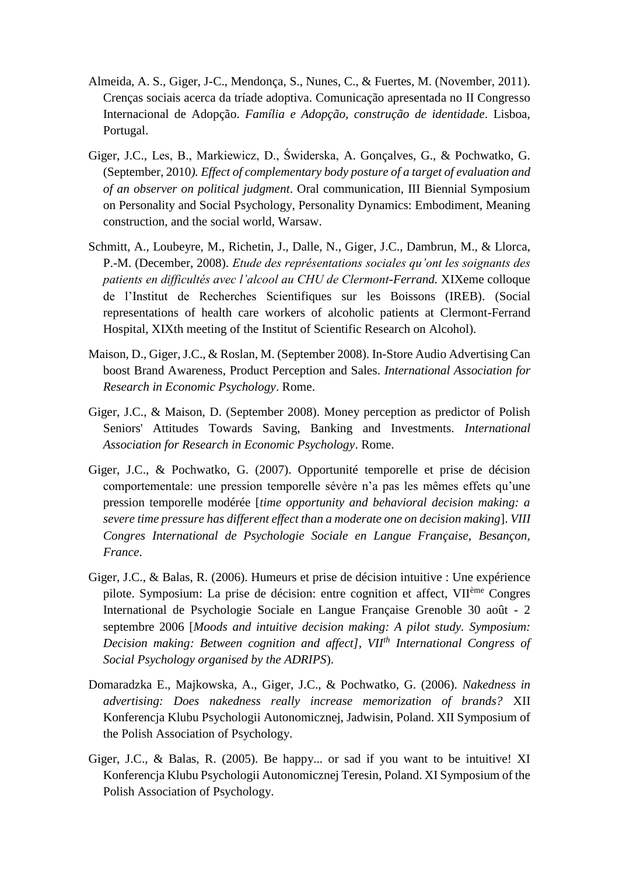- Almeida, A. S., Giger, J-C., Mendonça, S., Nunes, C., & Fuertes, M. (November, 2011). Crenças sociais acerca da tríade adoptiva. Comunicação apresentada no II Congresso Internacional de Adopção. *Família e Adopção, construção de identidade*. Lisboa, Portugal.
- Giger, J.C., Les, B., Markiewicz, D., Świderska, A. Gonçalves, G., & Pochwatko, G. (September, 2010*). Effect of complementary body posture of a target of evaluation and of an observer on political judgment*. Oral communication, III Biennial Symposium on Personality and Social Psychology, Personality Dynamics: Embodiment, Meaning construction, and the social world, Warsaw.
- Schmitt, A., Loubeyre, M., Richetin, J., Dalle, N., Giger, J.C., Dambrun, M., & Llorca, P.-M. (December, 2008). *Etude des représentations sociales qu'ont les soignants des patients en difficultés avec l'alcool au CHU de Clermont-Ferrand.* XIXeme colloque de l'Institut de Recherches Scientifiques sur les Boissons (IREB). (Social representations of health care workers of alcoholic patients at Clermont-Ferrand Hospital, XIXth meeting of the Institut of Scientific Research on Alcohol).
- Maison, D., Giger, J.C., & Roslan, M. (September 2008). In-Store Audio Advertising Can boost Brand Awareness, Product Perception and Sales. *International Association for Research in Economic Psychology*. Rome.
- Giger, J.C., & Maison, D. (September 2008). Money perception as predictor of Polish Seniors' Attitudes Towards Saving, Banking and Investments. *International Association for Research in Economic Psychology*. Rome.
- Giger, J.C., & Pochwatko, G. (2007). Opportunité temporelle et prise de décision comportementale: une pression temporelle sévère n'a pas les mêmes effets qu'une pression temporelle modérée [*time opportunity and behavioral decision making: a severe time pressure has different effect than a moderate one on decision making*]. *VIII Congres International de Psychologie Sociale en Langue Française, Besançon, France*.
- Giger, J.C., & Balas, R. (2006). Humeurs et prise de décision intuitive : Une expérience pilote. Symposium: La prise de décision: entre cognition et affect, VIIème Congres International de Psychologie Sociale en Langue Française Grenoble 30 août - 2 septembre 2006 [*Moods and intuitive decision making: A pilot study. Symposium: Decision making: Between cognition and affect], VIIth International Congress of Social Psychology organised by the ADRIPS*).
- Domaradzka E., Majkowska, A., Giger, J.C., & Pochwatko, G. (2006). *Nakedness in advertising: Does nakedness really increase memorization of brands?* XII Konferencja Klubu Psychologii Autonomicznej, Jadwisin, Poland. XII Symposium of the Polish Association of Psychology.
- Giger, J.C., & Balas, R. (2005). Be happy... or sad if you want to be intuitive! XI Konferencja Klubu Psychologii Autonomicznej Teresin, Poland. XI Symposium of the Polish Association of Psychology.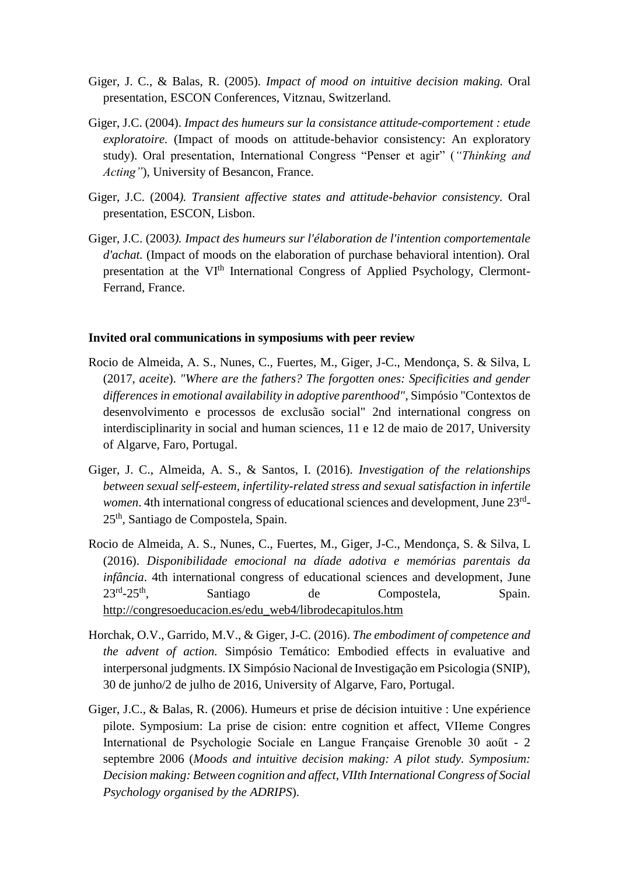- Giger, J. C., & Balas, R. (2005). *Impact of mood on intuitive decision making.* Oral presentation, ESCON Conferences, Vitznau, Switzerland.
- Giger, J.C. (2004). *Impact des humeurs sur la consistance attitude-comportement : etude exploratoire.* (Impact of moods on attitude-behavior consistency: An exploratory study). Oral presentation, International Congress "Penser et agir" (*"Thinking and Acting"*), University of Besancon, France.
- Giger, J.C. (2004*). Transient affective states and attitude-behavior consistency.* Oral presentation, ESCON, Lisbon.
- Giger, J.C. (2003*). Impact des humeurs sur l'élaboration de l'intention comportementale d'achat.* (Impact of moods on the elaboration of purchase behavioral intention). Oral presentation at the VI<sup>th</sup> International Congress of Applied Psychology, Clermont-Ferrand, France.

#### **Invited oral communications in symposiums with peer review**

- Rocio de Almeida, A. S., Nunes, C., Fuertes, M., Giger, J-C., Mendonça, S. & Silva, L (2017, *aceite*). *"Where are the fathers? The forgotten ones: Specificities and gender differences in emotional availability in adoptive parenthood"*, Simpósio "Contextos de desenvolvimento e processos de exclusão social" 2nd international congress on interdisciplinarity in social and human sciences, 11 e 12 de maio de 2017, University of Algarve, Faro, Portugal.
- Giger, J. C., Almeida, A. S., & Santos, I. (2016). *Investigation of the relationships between sexual self-esteem, infertility-related stress and sexual satisfaction in infertile*  women. 4th international congress of educational sciences and development, June 23<sup>rd</sup>-25th, Santiago de Compostela, Spain.
- Rocio de Almeida, A. S., Nunes, C., Fuertes, M., Giger, J-C., Mendonça, S. & Silva, L (2016). *Disponibilidade emocional na díade adotiva e memórias parentais da infância*. 4th international congress of educational sciences and development, June  $23^{rd} - 25^{th}$ . Santiago de Compostela, Spain. [http://congresoeducacion.es/edu\\_web4/librodecapitulos.htm](http://congresoeducacion.es/edu_web4/librodecapitulos.htm)
- Horchak, O.V., Garrido, M.V., & Giger, J-C. (2016). *The embodiment of competence and the advent of action.* Simpósio Temático: Embodied effects in evaluative and interpersonal judgments. IX Simpósio Nacional de Investigação em Psicologia (SNIP), 30 de junho/2 de julho de 2016, University of Algarve, Faro, Portugal.
- Giger, J.C., & Balas, R. (2006). Humeurs et prise de décision intuitive : Une expérience pilote. Symposium: La prise de cision: entre cognition et affect, VIIeme Congres International de Psychologie Sociale en Langue Française Grenoble 30 aoűt - 2 septembre 2006 (*Moods and intuitive decision making: A pilot study. Symposium: Decision making: Between cognition and affect, VIIth International Congress of Social Psychology organised by the ADRIPS*).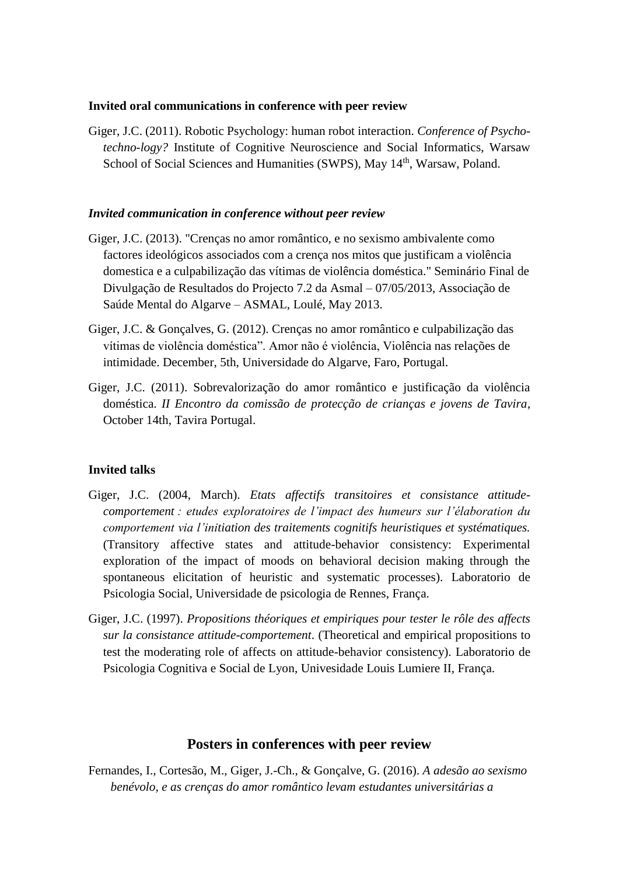#### **Invited oral communications in conference with peer review**

Giger, J.C. (2011). Robotic Psychology: human robot interaction. *Conference of Psychotechno-logy?* Institute of Cognitive Neuroscience and Social Informatics, Warsaw School of Social Sciences and Humanities (SWPS), May 14<sup>th</sup>, Warsaw, Poland.

#### *Invited communication in conference without peer review*

- Giger, J.C. (2013). "Crenças no amor romântico, e no sexismo ambivalente como factores ideológicos associados com a crença nos mitos que justificam a violência domestica e a culpabilização das vítimas de violência doméstica." Seminário Final de Divulgação de Resultados do Projecto 7.2 da Asmal – 07/05/2013, Associação de Saúde Mental do Algarve – ASMAL, Loulé, May 2013.
- Giger, J.C. & Gonçalves, G. (2012). Crenças no amor romântico e culpabilização das vítimas de violência doméstica". Amor não é violência, Violência nas relações de intimidade. December, 5th, Universidade do Algarve, Faro, Portugal.
- Giger, J.C. (2011). Sobrevalorização do amor romântico e justificação da violência doméstica. *II Encontro da comissão de protecção de crianças e jovens de Tavira*, October 14th, Tavira Portugal.

#### **Invited talks**

- Giger, J.C. (2004, March). *Etats affectifs transitoires et consistance attitudecomportement : etudes exploratoires de l'impact des humeurs sur l'élaboration du comportement via l'initiation des traitements cognitifs heuristiques et systématiques.* (Transitory affective states and attitude-behavior consistency: Experimental exploration of the impact of moods on behavioral decision making through the spontaneous elicitation of heuristic and systematic processes). Laboratorio de Psicologia Social, Universidade de psicologia de Rennes, França.
- Giger, J.C. (1997). *Propositions théoriques et empiriques pour tester le rôle des affects sur la consistance attitude-comportement*. (Theoretical and empirical propositions to test the moderating role of affects on attitude-behavior consistency). Laboratorio de Psicologia Cognitiva e Social de Lyon, Univesidade Louis Lumiere II, França.

# **Posters in conferences with peer review**

Fernandes, I., Cortesão, M., Giger, J.-Ch., & Gonçalve, G. (2016). *A adesão ao sexismo benévolo, e as crenças do amor romântico levam estudantes universitárias a*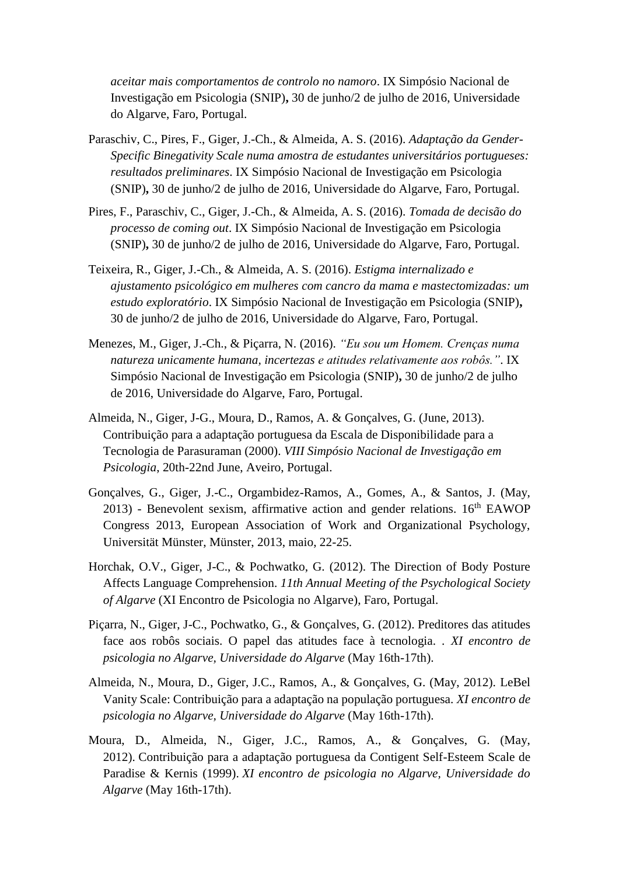*aceitar mais comportamentos de controlo no namoro*. IX Simpósio Nacional de Investigação em Psicologia (SNIP)**,** 30 de junho/2 de julho de 2016, Universidade do Algarve, Faro, Portugal.

- Paraschiv, C., Pires, F., Giger, J.-Ch., & Almeida, A. S. (2016). *Adaptação da Gender-Specific Binegativity Scale numa amostra de estudantes universitários portugueses: resultados preliminares*. IX Simpósio Nacional de Investigação em Psicologia (SNIP)**,** 30 de junho/2 de julho de 2016, Universidade do Algarve, Faro, Portugal.
- Pires, F., Paraschiv, C., Giger, J.-Ch., & Almeida, A. S. (2016). *Tomada de decisão do processo de coming out*. IX Simpósio Nacional de Investigação em Psicologia (SNIP)**,** 30 de junho/2 de julho de 2016, Universidade do Algarve, Faro, Portugal.
- Teixeira, R., Giger, J.-Ch., & Almeida, A. S. (2016). *Estigma internalizado e ajustamento psicológico em mulheres com cancro da mama e mastectomizadas: um estudo exploratório*. IX Simpósio Nacional de Investigação em Psicologia (SNIP)**,** 30 de junho/2 de julho de 2016, Universidade do Algarve, Faro, Portugal.
- Menezes, M., Giger, J.-Ch., & Piçarra, N. (2016). *"Eu sou um Homem. Crenças numa natureza unicamente humana, incertezas e atitudes relativamente aos robôs."*. IX Simpósio Nacional de Investigação em Psicologia (SNIP)**,** 30 de junho/2 de julho de 2016, Universidade do Algarve, Faro, Portugal.
- Almeida, N., Giger, J-G., Moura, D., Ramos, A. & Gonçalves, G. (June, 2013). Contribuição para a adaptação portuguesa da Escala de Disponibilidade para a Tecnologia de Parasuraman (2000). *VIII Simpósio Nacional de Investigação em Psicologia*, 20th-22nd June, Aveiro, Portugal.
- Gonçalves, G., Giger, J.-C., Orgambidez-Ramos, A., Gomes, A., & Santos, J. (May,  $2013$ ) - Benevolent sexism, affirmative action and gender relations.  $16<sup>th</sup>$  EAWOP Congress 2013, European Association of Work and Organizational Psychology, Universität Münster, Münster, 2013, maio, 22-25.
- Horchak, O.V., Giger, J-C., & Pochwatko, G. (2012). The Direction of Body Posture Affects Language Comprehension. *11th Annual Meeting of the Psychological Society of Algarve* (XI Encontro de Psicologia no Algarve), Faro, Portugal.
- Piçarra, N., Giger, J-C., Pochwatko, G., & Gonçalves, G. (2012). Preditores das atitudes face aos robôs sociais. O papel das atitudes face à tecnologia. . *XI encontro de psicologia no Algarve, Universidade do Algarve* (May 16th-17th).
- Almeida, N., Moura, D., Giger, J.C., Ramos, A., & Gonçalves, G. (May, 2012). LeBel Vanity Scale: Contribuição para a adaptação na população portuguesa. *XI encontro de psicologia no Algarve, Universidade do Algarve* (May 16th-17th).
- Moura, D., Almeida, N., Giger, J.C., Ramos, A., & Gonçalves, G. (May, 2012). Contribuição para a adaptação portuguesa da Contigent Self-Esteem Scale de Paradise & Kernis (1999). *XI encontro de psicologia no Algarve, Universidade do Algarve* (May 16th-17th).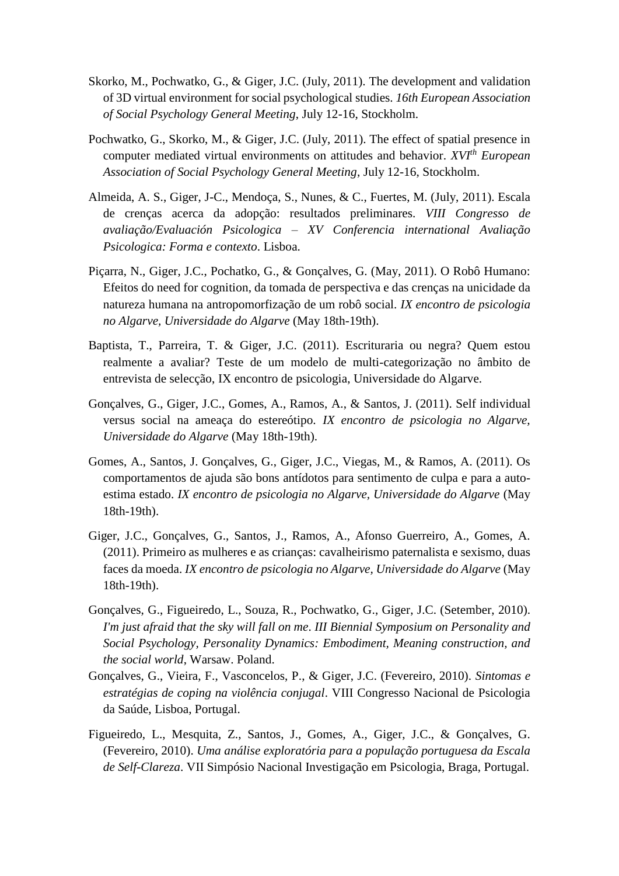- Skorko, M., Pochwatko, G., & Giger, J.C. (July, 2011). The development and validation of 3D virtual environment for social psychological studies. *16th European Association of Social Psychology General Meeting*, July 12-16, Stockholm.
- Pochwatko, G., Skorko, M., & Giger, J.C. (July, 2011). The effect of spatial presence in computer mediated virtual environments on attitudes and behavior. *XVIth European Association of Social Psychology General Meeting*, July 12-16, Stockholm.
- Almeida, A. S., Giger, J-C., Mendoça, S., Nunes, & C., Fuertes, M. (July, 2011). Escala de crenças acerca da adopção: resultados preliminares. *VIII Congresso de avaliação/Evaluación Psicologica – XV Conferencia international Avaliação Psicologica: Forma e contexto*. Lisboa.
- Piçarra, N., Giger, J.C., Pochatko, G., & Gonçalves, G. (May, 2011). O Robô Humano: Efeitos do need for cognition, da tomada de perspectiva e das crenças na unicidade da natureza humana na antropomorfização de um robô social. *IX encontro de psicologia no Algarve, Universidade do Algarve* (May 18th-19th).
- Baptista, T., Parreira, T. & Giger, J.C. (2011). Escrituraria ou negra? Quem estou realmente a avaliar? Teste de um modelo de multi-categorização no âmbito de entrevista de selecção, IX encontro de psicologia, Universidade do Algarve.
- Gonçalves, G., Giger, J.C., Gomes, A., Ramos, A., & Santos, J. (2011). Self individual versus social na ameaça do estereótipo. *IX encontro de psicologia no Algarve, Universidade do Algarve* (May 18th-19th).
- Gomes, A., Santos, J. Gonçalves, G., Giger, J.C., Viegas, M., & Ramos, A. (2011). Os comportamentos de ajuda são bons antídotos para sentimento de culpa e para a autoestima estado. *IX encontro de psicologia no Algarve, Universidade do Algarve* (May 18th-19th).
- Giger, J.C., Gonçalves, G., Santos, J., Ramos, A., Afonso Guerreiro, A., Gomes, A. (2011). Primeiro as mulheres e as crianças: cavalheirismo paternalista e sexismo, duas faces da moeda. *IX encontro de psicologia no Algarve, Universidade do Algarve* (May 18th-19th).
- Gonçalves, G., Figueiredo, L., Souza, R., Pochwatko, G., Giger, J.C. (Setember, 2010). *I'm just afraid that the sky will fall on me*. *III Biennial Symposium on Personality and Social Psychology, Personality Dynamics: Embodiment, Meaning construction, and the social world*, Warsaw. Poland.
- Gonçalves, G., Vieira, F., Vasconcelos, P., & Giger, J.C. (Fevereiro, 2010). *Sintomas e estratégias de coping na violência conjugal*. VIII Congresso Nacional de Psicologia da Saúde, Lisboa, Portugal.
- Figueiredo, L., Mesquita, Z., Santos, J., Gomes, A., Giger, J.C., & Gonçalves, G. (Fevereiro, 2010). *Uma análise exploratória para a população portuguesa da Escala de Self-Clareza*. VII Simpósio Nacional Investigação em Psicologia, Braga, Portugal.